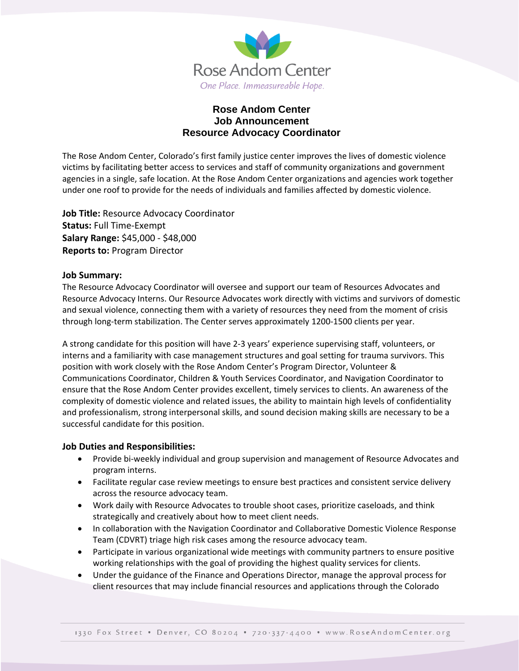

## **Rose Andom Center Job Announcement Resource Advocacy Coordinator**

The Rose Andom Center, Colorado's first family justice center improves the lives of domestic violence victims by facilitating better access to services and staff of community organizations and government agencies in a single, safe location. At the Rose Andom Center organizations and agencies work together under one roof to provide for the needs of individuals and families affected by domestic violence.

**Job Title:** Resource Advocacy Coordinator **Status:** Full Time-Exempt **Salary Range:** \$45,000 - \$48,000 **Reports to:** Program Director

## **Job Summary:**

The Resource Advocacy Coordinator will oversee and support our team of Resources Advocates and Resource Advocacy Interns. Our Resource Advocates work directly with victims and survivors of domestic and sexual violence, connecting them with a variety of resources they need from the moment of crisis through long-term stabilization. The Center serves approximately 1200-1500 clients per year.

A strong candidate for this position will have 2-3 years' experience supervising staff, volunteers, or interns and a familiarity with case management structures and goal setting for trauma survivors. This position with work closely with the Rose Andom Center's Program Director, Volunteer & Communications Coordinator, Children & Youth Services Coordinator, and Navigation Coordinator to ensure that the Rose Andom Center provides excellent, timely services to clients. An awareness of the complexity of domestic violence and related issues, the ability to maintain high levels of confidentiality and professionalism, strong interpersonal skills, and sound decision making skills are necessary to be a successful candidate for this position.

## **Job Duties and Responsibilities:**

- Provide bi-weekly individual and group supervision and management of Resource Advocates and program interns.
- Facilitate regular case review meetings to ensure best practices and consistent service delivery across the resource advocacy team.
- Work daily with Resource Advocates to trouble shoot cases, prioritize caseloads, and think strategically and creatively about how to meet client needs.
- In collaboration with the Navigation Coordinator and Collaborative Domestic Violence Response Team (CDVRT) triage high risk cases among the resource advocacy team.
- Participate in various organizational wide meetings with community partners to ensure positive working relationships with the goal of providing the highest quality services for clients.
- Under the guidance of the Finance and Operations Director, manage the approval process for client resources that may include financial resources and applications through the Colorado